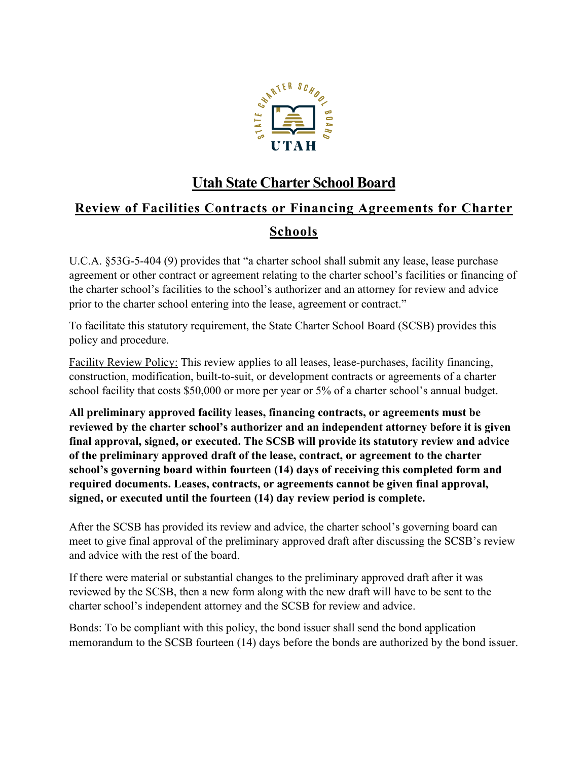

## **Utah State Charter School Board**

# **Review of Facilities Contracts or Financing Agreements for Charter**

### **Schools**

U.C.A. §53G-5-404 (9) provides that "a charter school shall submit any lease, lease purchase agreement or other contract or agreement relating to the charter school's facilities or financing of the charter school's facilities to the school's authorizer and an attorney for review and advice prior to the charter school entering into the lease, agreement or contract."

To facilitate this statutory requirement, the State Charter School Board (SCSB) provides this policy and procedure.

Facility Review Policy: This review applies to all leases, lease-purchases, facility financing, construction, modification, built-to-suit, or development contracts or agreements of a charter school facility that costs \$50,000 or more per year or 5% of a charter school's annual budget.

**All preliminary approved facility leases, financing contracts, or agreements must be reviewed by the charter school's authorizer and an independent attorney before it is given final approval, signed, or executed. The SCSB will provide its statutory review and advice of the preliminary approved draft of the lease, contract, or agreement to the charter school's governing board within fourteen (14) days of receiving this completed form and required documents. Leases, contracts, or agreements cannot be given final approval, signed, or executed until the fourteen (14) day review period is complete.**

After the SCSB has provided its review and advice, the charter school's governing board can meet to give final approval of the preliminary approved draft after discussing the SCSB's review and advice with the rest of the board.

If there were material or substantial changes to the preliminary approved draft after it was reviewed by the SCSB, then a new form along with the new draft will have to be sent to the charter school's independent attorney and the SCSB for review and advice.

Bonds: To be compliant with this policy, the bond issuer shall send the bond application memorandum to the SCSB fourteen (14) days before the bonds are authorized by the bond issuer.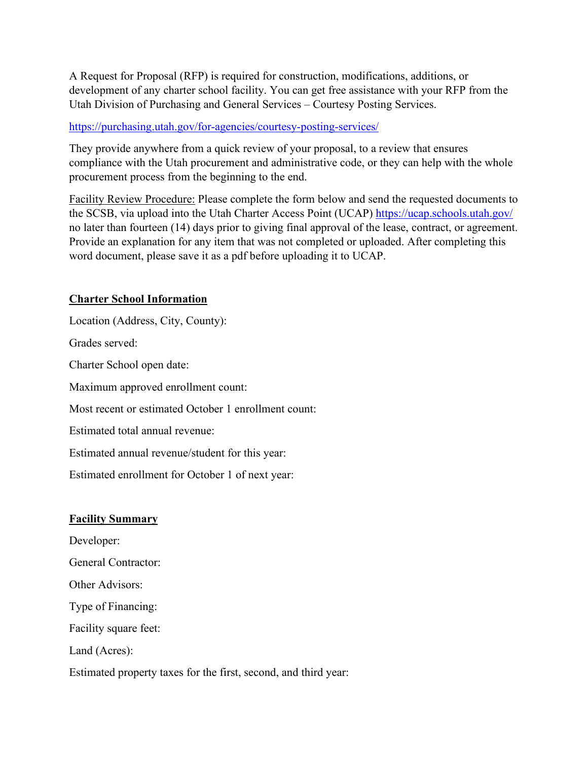A Request for Proposal (RFP) is required for construction, modifications, additions, or development of any charter school facility. You can get free assistance with your RFP from the Utah Division of Purchasing and General Services – Courtesy Posting Services.

#### <https://purchasing.utah.gov/for-agencies/courtesy-posting-services/>

They provide anywhere from a quick review of your proposal, to a review that ensures compliance with the Utah procurement and administrative code, or they can help with the whole procurement process from the beginning to the end.

Facility Review Procedure: Please complete the form below and send the requested documents to the SCSB, via upload into the Utah Charter Access Point (UCAP)<https://ucap.schools.utah.gov/> no later than fourteen (14) days prior to giving final approval of the lease, contract, or agreement. Provide an explanation for any item that was not completed or uploaded. After completing this word document, please save it as a pdf before uploading it to UCAP.

#### **Charter School Information**

Location (Address, City, County): Grades served: Charter School open date: Maximum approved enrollment count: Most recent or estimated October 1 enrollment count: Estimated total annual revenue: Estimated annual revenue/student for this year: Estimated enrollment for October 1 of next year:

#### **Facility Summary**

Developer: General Contractor: Other Advisors: Type of Financing: Facility square feet: Land (Acres): Estimated property taxes for the first, second, and third year: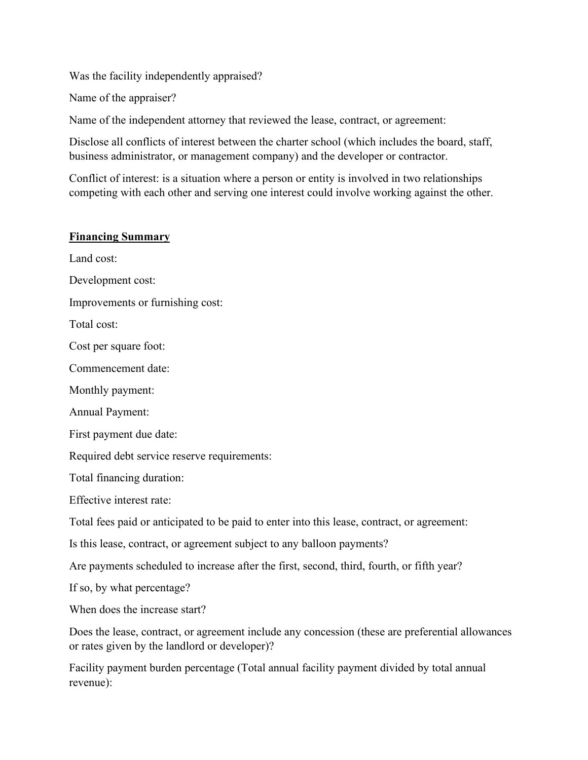Was the facility independently appraised?

Name of the appraiser?

Name of the independent attorney that reviewed the lease, contract, or agreement:

Disclose all conflicts of interest between the charter school (which includes the board, staff, business administrator, or management company) and the developer or contractor.

Conflict of interest: is a situation where a person or entity is involved in two relationships competing with each other and serving one interest could involve working against the other.

#### **Financing Summary**

Land cost:

Development cost:

Improvements or furnishing cost:

Total cost:

Cost per square foot:

Commencement date:

Monthly payment:

Annual Payment:

First payment due date:

Required debt service reserve requirements:

Total financing duration:

Effective interest rate:

Total fees paid or anticipated to be paid to enter into this lease, contract, or agreement:

Is this lease, contract, or agreement subject to any balloon payments?

Are payments scheduled to increase after the first, second, third, fourth, or fifth year?

If so, by what percentage?

When does the increase start?

Does the lease, contract, or agreement include any concession (these are preferential allowances or rates given by the landlord or developer)?

Facility payment burden percentage (Total annual facility payment divided by total annual revenue):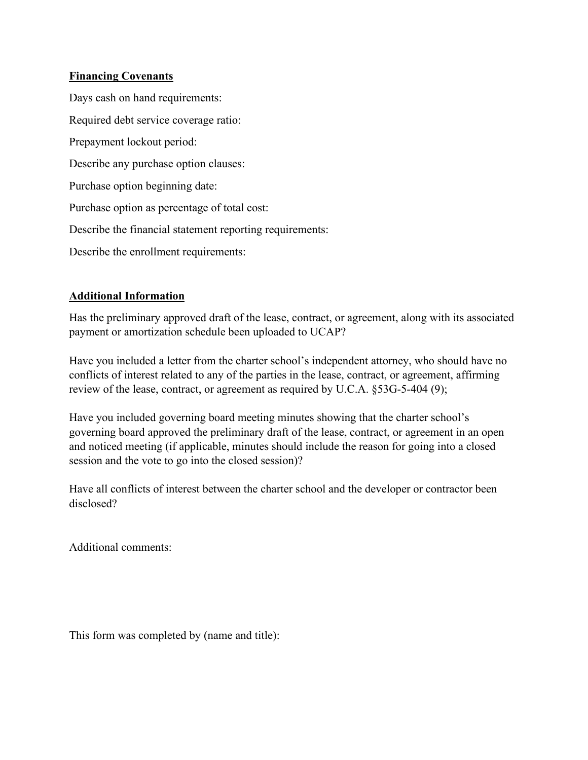#### **Financing Covenants**

Days cash on hand requirements: Required debt service coverage ratio: Prepayment lockout period: Describe any purchase option clauses: Purchase option beginning date: Purchase option as percentage of total cost: Describe the financial statement reporting requirements: Describe the enrollment requirements:

#### **Additional Information**

Has the preliminary approved draft of the lease, contract, or agreement, along with its associated payment or amortization schedule been uploaded to UCAP?

Have you included a letter from the charter school's independent attorney, who should have no conflicts of interest related to any of the parties in the lease, contract, or agreement, affirming review of the lease, contract, or agreement as required by U.C.A. §53G-5-404 (9);

Have you included governing board meeting minutes showing that the charter school's governing board approved the preliminary draft of the lease, contract, or agreement in an open and noticed meeting (if applicable, minutes should include the reason for going into a closed session and the vote to go into the closed session)?

Have all conflicts of interest between the charter school and the developer or contractor been disclosed?

Additional comments:

This form was completed by (name and title):